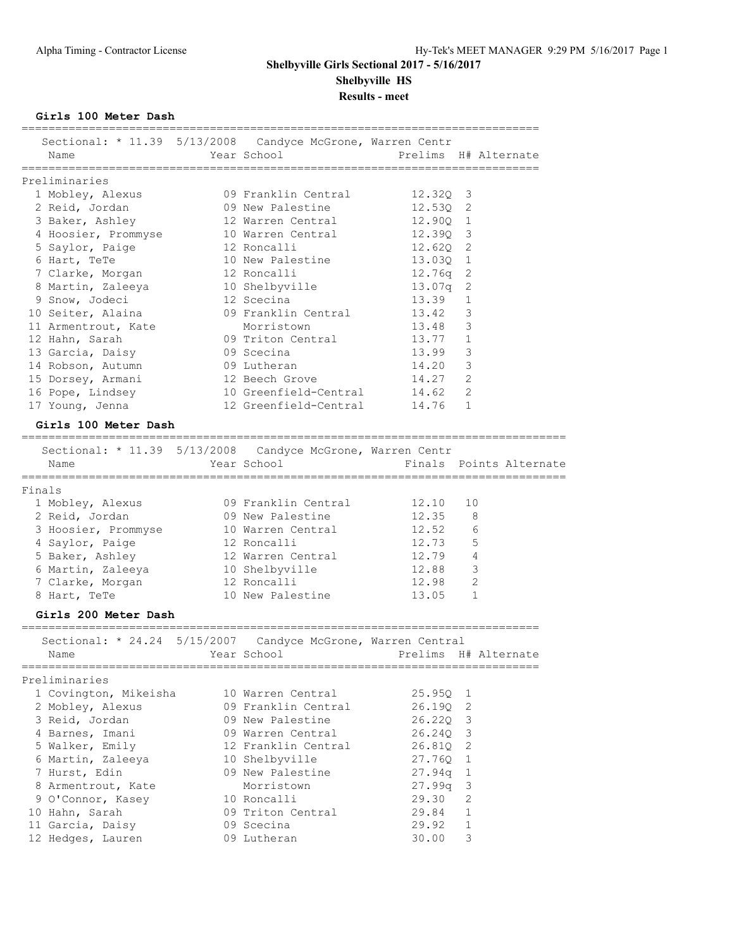**Girls 100 Meter Dash**

|        | Sectional: * 11.39 5/13/2008 Candyce McGrone, Warren Centr<br>Name | Year School               |          | Prelims H# Alternate    |
|--------|--------------------------------------------------------------------|---------------------------|----------|-------------------------|
|        |                                                                    |                           |          |                         |
|        | Preliminaries                                                      |                           |          |                         |
|        | 1 Mobley, Alexus                                                   | 09 Franklin Central       | 12.320 3 |                         |
|        | 2 Reid, Jordan                                                     | 09 New Palestine          | 12.530 2 |                         |
|        | 3 Baker, Ashley                                                    | 12 Warren Central         | 12.900 1 |                         |
|        | 4 Hoosier, Prommyse                                                | 10 Warren Central         | 12.39Q 3 |                         |
|        | 5 Saylor, Paige                                                    | 12 Roncalli               | 12.62Q 2 |                         |
|        | 6 Hart, TeTe                                                       | 10 New Palestine          | 13.03Q 1 |                         |
|        | 7 Clarke, Morgan                                                   | 12 Roncalli               | 12.76q   | $\mathbf{2}$            |
|        | 8 Martin, Zaleeya                                                  | 10 Shelbyville            | 13.07q   | 2                       |
|        | 9 Snow, Jodeci                                                     | 12 Scecina                | 13.39    | 1                       |
|        | 10 Seiter, Alaina                                                  | 09 Franklin Central 13.42 |          | 3                       |
|        | 11 Armentrout, Kate                                                | Morristown                | 13.48    | 3                       |
|        | 12 Hahn, Sarah                                                     | 09 Triton Central         | 13.77    | $\mathbf{1}$            |
|        | 13 Garcia, Daisy                                                   | 09 Scecina                | 13.99    | 3                       |
|        | 14 Robson, Autumn                                                  | 09 Lutheran               | 14.20    | 3                       |
|        | 15 Dorsey, Armani                                                  | 12 Beech Grove            | 14.27    | 2                       |
|        | 16 Pope, Lindsey                                                   | 10 Greenfield-Central     | 14.62    | 2                       |
|        |                                                                    | 12 Greenfield-Central     |          | -1.                     |
|        | 17 Young, Jenna                                                    |                           | 14.76    |                         |
|        | Girls 100 Meter Dash                                               |                           |          |                         |
|        | Sectional: * 11.39 5/13/2008 Candyce McGrone, Warren Centr         |                           |          |                         |
|        | Name                                                               | Year School               |          | Finals Points Alternate |
|        | ==============                                                     | ======================    |          |                         |
| Finals |                                                                    |                           |          |                         |
|        | 1 Mobley, Alexus                                                   | 09 Franklin Central       | 12.10    | 10                      |
|        | 2 Reid, Jordan                                                     | 09 New Palestine          | 12.35    | 8                       |
|        | 3 Hoosier, Prommyse                                                | 10 Warren Central         | 12.52    | 6                       |
|        | 4 Saylor, Paige                                                    | 12 Roncalli               | 12.73    | 5                       |
|        | 5 Baker, Ashley                                                    | 12 Warren Central         | 12.79    | 4                       |
|        | 6 Martin, Zaleeya                                                  | 10 Shelbyville            | 12.88    | 3                       |
|        | 7 Clarke, Morgan                                                   | 12 Roncalli               | 12.98    | 2                       |
|        | 8 Hart, TeTe                                                       | 10 New Palestine          | 13.05    | 1                       |
|        | Girls 200 Meter Dash                                               |                           |          |                         |
|        |                                                                    |                           |          |                         |
|        | Sectional: * 24.24 5/15/2007 Candyce McGrone, Warren Central       |                           |          |                         |
|        | Name                                                               | Year School               |          | Prelims H# Alternate    |
|        |                                                                    |                           |          |                         |
|        | Preliminaries                                                      | 10 Warren Central         |          |                         |
|        | 1 Covington, Mikeisha                                              |                           | 25.95Q   | 1                       |
|        | 2 Mobley, Alexus                                                   | 09 Franklin Central       | 26.190   | 2                       |
|        | 3 Reid, Jordan                                                     | 09 New Palestine          | 26.220   | 3                       |
|        | 4 Barnes, Imani                                                    | 09 Warren Central         | 26.240 3 |                         |
|        | 5 Walker, Emily                                                    | 12 Franklin Central       | 26.81Q   | 2                       |
|        | 6 Martin, Zaleeya                                                  | 10 Shelbyville            | 27.76Q   | 1                       |
|        | 7 Hurst, Edin                                                      | 09 New Palestine          | 27.94q   | $\mathbf 1$             |
|        | 8 Armentrout, Kate                                                 | Morristown                | 27.99q   | 3                       |
|        | 9 O'Connor, Kasey                                                  | 10 Roncalli               | 29.30    | 2                       |
|        | 10 Hahn, Sarah                                                     | 09 Triton Central         | 29.84    | $\mathbf 1$             |
|        | 11 Garcia, Daisy                                                   | 09 Scecina                | 29.92    | $\mathbf 1$             |
|        | 12 Hedges, Lauren                                                  | 09 Lutheran               | 30.00    | 3                       |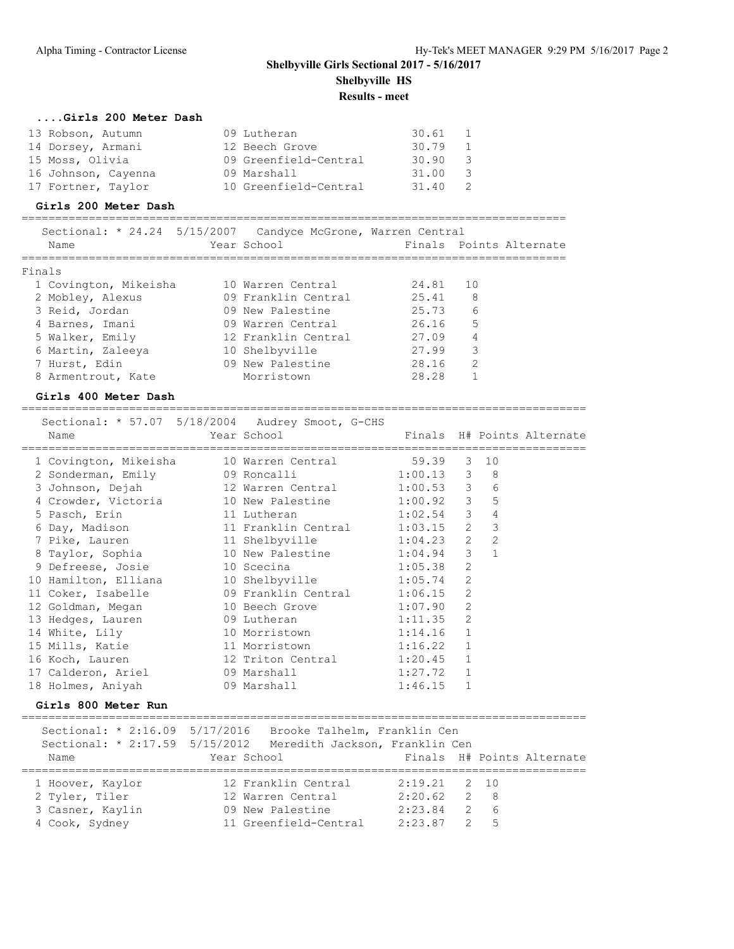## **....Girls 200 Meter Dash**

| 13 Robson, Autumn   | 09 Lutheran           | 30.61 | 1            |
|---------------------|-----------------------|-------|--------------|
| 14 Dorsey, Armani   | 12 Beech Grove        | 30.79 | <sup>1</sup> |
| 15 Moss, Olivia     | 09 Greenfield-Central | 30.90 | -3           |
| 16 Johnson, Cayenna | 09 Marshall           | 31.00 | - 3          |
| 17 Fortner, Taylor  | 10 Greenfield-Central | 31.40 | 2            |

### **Girls 200 Meter Dash**

=================================================================================

| Sectional: * 24.24 5/15/2007 Candyce McGrone, Warren Central |                     |       |                         |
|--------------------------------------------------------------|---------------------|-------|-------------------------|
| Name                                                         | Year School         |       | Finals Points Alternate |
|                                                              |                     |       |                         |
| Finals                                                       |                     |       |                         |
| 1 Covington, Mikeisha                                        | 10 Warren Central   | 24.81 | 10                      |
| 2 Mobley, Alexus                                             | 09 Franklin Central | 25.41 | 8                       |
| 3 Reid, Jordan                                               | 09 New Palestine    | 25.73 | 6                       |
| 4 Barnes, Imani                                              | 09 Warren Central   | 26.16 | 5                       |
| 5 Walker, Emily                                              | 12 Franklin Central | 27.09 | 4                       |
| 6 Martin, Zaleeya                                            | 10 Shelbyville      | 27.99 | 3                       |
| 7 Hurst, Edin                                                | 09 New Palestine    | 28.16 | 2                       |
| 8 Armentrout, Kate                                           | Morristown          | 28.28 |                         |
|                                                              |                     |       |                         |

## **Girls 400 Meter Dash**

====================================================================================

| Sectional: * 57.07 5/18/2004 Audrey Smoot, G-CHS<br>Name                          | Year School Theory |         |              |                | Finals H# Points Alternate |
|-----------------------------------------------------------------------------------|--------------------|---------|--------------|----------------|----------------------------|
| 1 Covington, Mikeisha 10 Warren Central 59.39 3 10                                |                    |         |              |                |                            |
| 2 Sonderman, Emily 09 Roncalli 1:00.13 3 8                                        |                    |         |              |                |                            |
| 3 Johnson, Dejah 12 Warren Central 1:00.53 3 6                                    |                    |         |              |                |                            |
| 4 Crowder, Victoria 10 New Palestine 1:00.92 3 5                                  |                    |         |              |                |                            |
| 5 Pasch, Erin 11 Lutheran                                                         | $1:02.54$ 3 4      |         |              |                |                            |
| 6 Day, Madison 11 Franklin Central 1:03.15 2 3                                    |                    |         |              |                |                            |
| 7 Pike, Lauren 11 Shelbyville 1:04.23 2 2                                         |                    |         |              |                |                            |
| 8 Taylor, Sophia 10 New Palestine 1:04.94 3                                       |                    |         |              | $\overline{1}$ |                            |
| 9 Defreese, Josie 10 Scecina                                                      | $1:05.38$ 2        |         |              |                |                            |
| 10 Hamilton, Elliana 10 Shelbyville 1:05.74 2                                     |                    |         |              |                |                            |
| 11 Coker, Isabelle 1:06.15 2                                                      |                    |         |              |                |                            |
| 12 Goldman, Megan 10 Beech Grove 1:07.90 2                                        |                    |         |              |                |                            |
| 13 Hedges, Lauren 19 Lutheran 1:11.35 2<br>14 White, Lily 10 Morristown 1:14.16 1 |                    |         |              |                |                            |
|                                                                                   |                    |         |              |                |                            |
| 15 Mills, Katie 11 Morristown 1:16.22 1                                           |                    |         |              |                |                            |
| 16 Koch, Lauren 12 Triton Central 1:20.45 1                                       |                    |         |              |                |                            |
|                                                                                   |                    | 1:27.72 | $\mathbf{1}$ |                |                            |
| 18 Holmes, Aniyah 69 Marshall                                                     |                    | 1:46.15 | $\mathbf{1}$ |                |                            |

### **Girls 800 Meter Run**

====================================================================================

|                                | Sectional: $\star$ 2:16.09 5/17/2016 Brooke Talhelm, Franklin Cen |                  |                            |
|--------------------------------|-------------------------------------------------------------------|------------------|----------------------------|
| Sectional: * 2:17.59 5/15/2012 | Meredith Jackson, Franklin Cen                                    |                  |                            |
| Name                           | Year School                                                       |                  | Finals H# Points Alternate |
|                                |                                                                   |                  |                            |
| 1 Hoover, Kaylor               | 12 Franklin Central                                               | $2:19.21$ 2 10   |                            |
| 2 Tyler, Tiler                 | 12 Warren Central                                                 | $2:20.62 \t 2 8$ |                            |
| 3 Casner, Kaylin               | 09 New Palestine                                                  | 2:23.84          | $2\overline{6}$            |
| 4 Cook, Sydney                 | 11 Greenfield-Central                                             | $2:23.87$ 2 5    |                            |
|                                |                                                                   |                  |                            |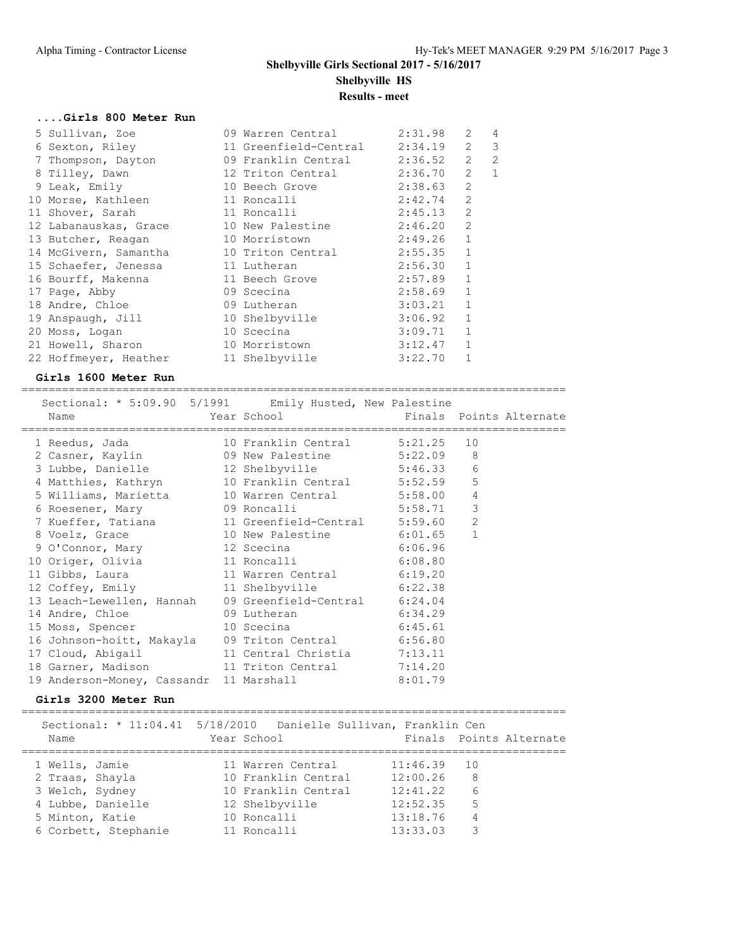### **....Girls 800 Meter Run**

| 5 Sullivan, Zoe                         | 09 Warren Central     | 2:31.98 | $\mathcal{L}$  | 4              |
|-----------------------------------------|-----------------------|---------|----------------|----------------|
| 6 Sexton, Riley                         | 11 Greenfield-Central | 2:34.19 | $\overline{2}$ | 3              |
| 7 Thompson, Dayton                      | 09 Franklin Central   | 2:36.52 | $\overline{2}$ | $\overline{2}$ |
| 8 Tilley, Dawn                          | 12 Triton Central     | 2:36.70 | 2              | $\mathbf{1}$   |
| 9 Leak, Emily                           | 10 Beech Grove        | 2:38.63 | $\mathfrak{L}$ |                |
| 10 Morse, Kathleen                      | 11 Roncalli           | 2:42.74 | $\overline{2}$ |                |
| 11 Shover, Sarah                        | 11 Roncalli           | 2:45.13 | $\mathfrak{L}$ |                |
| 12 Labanauskas, Grace 10 New Palestine  |                       | 2:46.20 | $\mathfrak{L}$ |                |
| 13 Butcher, Reagan                      | 10 Morristown         | 2:49.26 | $\mathbf{1}$   |                |
| 14 McGivern, Samantha 10 Triton Central |                       | 2:55.35 | $\mathbf{1}$   |                |
| 15 Schaefer, Jenessa 11 Lutheran        |                       | 2:56.30 | $\mathbf{1}$   |                |
| 16 Bourff, Makenna                      | 11 Beech Grove        | 2:57.89 | $\mathbf{1}$   |                |
| 17 Page, Abby                           | 09 Scecina            | 2:58.69 | $\mathbf{1}$   |                |
| 18 Andre, Chloe                         | 09 Lutheran           | 3:03.21 | $\mathbf{1}$   |                |
| 19 Anspaugh, Jill                       | 10 Shelbyville        | 3:06.92 | $\mathbf{1}$   |                |
| 20 Moss, Logan                          | 10 Scecina            | 3:09.71 | $\mathbf{1}$   |                |
| 21 Howell, Sharon                       | 10 Morristown         | 3:12.47 | $\mathbf{1}$   |                |
| 22 Hoffmeyer, Heather                   | 11 Shelbyville        | 3:22.70 | $\mathbf{1}$   |                |

### **Girls 1600 Meter Run**

=================================================================================

| Sectional: * 5:09.90 5/1991 Emily Husted, New Palestine<br>Name | Year School The Finals Points Alternate |                |  |
|-----------------------------------------------------------------|-----------------------------------------|----------------|--|
| 1 Reedus, Jada (10 Franklin Central 5:21.25                     |                                         | 10             |  |
| 2 Casner, Kaylin $09$ New Palestine 5:22.09 8                   |                                         |                |  |
| 3 Lubbe, Danielle 12 Shelbyville 5:46.33 6                      |                                         |                |  |
| 4 Matthies, Kathryn 10 Franklin Central 5:52.59                 |                                         | $\overline{5}$ |  |
| 5 Williams, Marietta 10 Warren Central 5:58.00                  |                                         | $\overline{4}$ |  |
| 6 Roesener, Mary 69 Roncalli 5:58.71                            |                                         | $\mathfrak{Z}$ |  |
| 7 Kueffer, Tatiana 11 Greenfield-Central 5:59.60                |                                         | $\mathbf{2}$   |  |
| 8 Voelz, Grace 10 New Palestine 6:01.65                         |                                         | $\mathbf{1}$   |  |
| 9 O'Connor, Mary 12 Scecina 6:06.96                             |                                         |                |  |
| 10 Origer, Olivia 11 Roncalli 6:08.80                           |                                         |                |  |
| 11 Gibbs, Laura 11 Warren Central 6:19.20                       |                                         |                |  |
| 12 Coffey, Emily 11 Shelbyville 6:22.38                         |                                         |                |  |
| 13 Leach-Lewellen, Hannah 09 Greenfield-Central 6:24.04         |                                         |                |  |
| 14 Andre, Chloe 6:34.29                                         |                                         |                |  |
| 15 Moss, Spencer 10 Scecina 6:45.61                             |                                         |                |  |
| 16 Johnson-hoitt, Makayla 09 Triton Central 6:56.80             |                                         |                |  |
| 17 Cloud, Abigail                                               | 11 Central Christia 7:13.11             |                |  |
| 18 Garner, Madison 11 Triton Central 7:14.20                    |                                         |                |  |
| 19 Anderson-Money, Cassandr 11 Marshall 8:01.79                 |                                         |                |  |

### **Girls 3200 Meter Run**

================================================================================= Sectional: \* 11:04.41 5/18/2010 Danielle Sullivan, Franklin Cen Name **The Year School** Finals Points Alternate ================================================================================= 1 Wells, Jamie 11 Warren Central 11:46.39 10 2 Traas, Shayla 10 Franklin Central 12:00.26 8 3 Welch, Sydney 10 Franklin Central 12:41.22 6 4 Lubbe, Danielle 12 Shelbyville 12:52.35 5 5 Minton, Katie 10 Roncalli 13:18.76 4 6 Corbett, Stephanie 11 Roncalli 13:33.03 3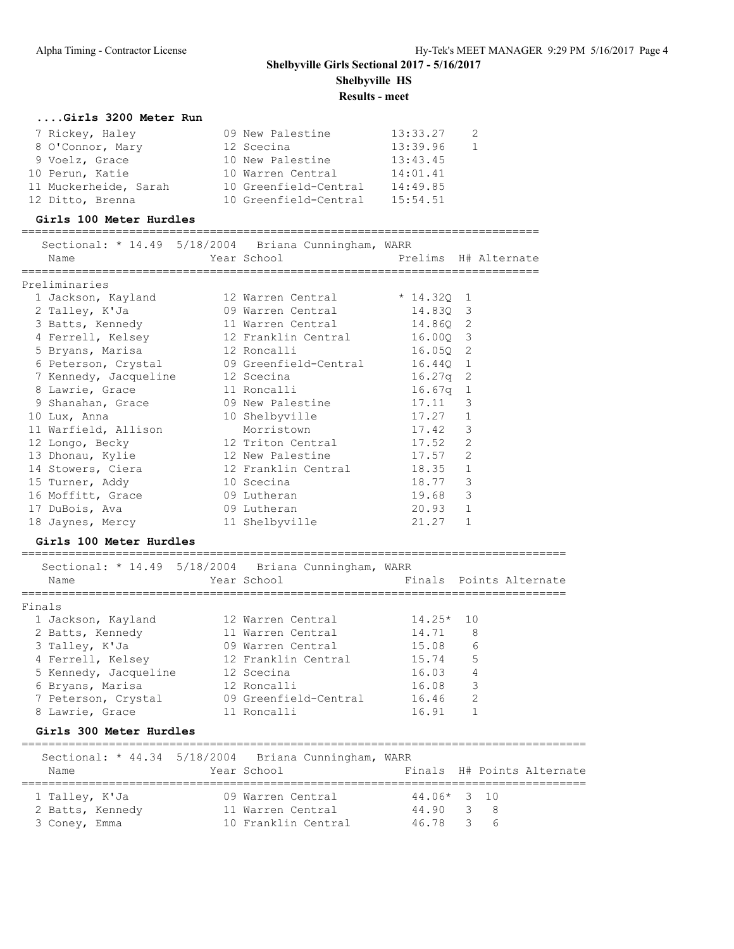=================================================================================

### **....Girls 3200 Meter Run**

| 7 Rickey, Haley       | 09 New Palestine      | 13:33.27 | -2 |
|-----------------------|-----------------------|----------|----|
| 8 O'Connor, Mary      | 12 Scecina            | 13:39.96 | -1 |
| 9 Voelz, Grace        | 10 New Palestine      | 13:43.45 |    |
| 10 Perun, Katie       | 10 Warren Central     | 14:01.41 |    |
| 11 Muckerheide, Sarah | 10 Greenfield-Central | 14:49.85 |    |
| 12 Ditto, Brenna      | 10 Greenfield-Central | 15:54.51 |    |

### **Girls 100 Meter Hurdles**

=============================================================================

| Name                          | Sectional: * 14.49 5/18/2004 Briana Cunningham, WARR                      |            |                |  |
|-------------------------------|---------------------------------------------------------------------------|------------|----------------|--|
| Preliminaries                 |                                                                           |            |                |  |
|                               | 1 Jackson, Kayland 12 Warren Central * 14.320 1                           |            |                |  |
|                               | 2 Talley, K'Ja $\qquad \qquad$ 09 Warren Central $\qquad \qquad$ 14.83Q 3 |            |                |  |
|                               | 3 Batts, Kennedy 11 Warren Central 14.860 2                               |            |                |  |
|                               | 4 Ferrell, Kelsey 12 Franklin Central 16.000 3                            |            |                |  |
|                               |                                                                           |            |                |  |
|                               |                                                                           |            |                |  |
|                               | 7 Kennedy, Jacqueline 12 Scecina                                          | $16.27q$ 2 |                |  |
|                               | 8 Lawrie, Grace 11 Roncalli 16.67q 1                                      |            |                |  |
|                               | 9 Shanahan, Grace 69 New Palestine 17.11 3                                |            |                |  |
|                               | 10 Lux, Anna 10 Shelbyville 17.27 1                                       |            |                |  |
| 11 Warfield, Allison          | Morristown 17.42 3                                                        |            |                |  |
|                               | 12 Longo, Becky 12 Triton Central 17.52                                   |            | $\overline{2}$ |  |
|                               | 13 Dhonau, Kylie 12 New Palestine 17.57                                   |            | 2              |  |
|                               | 14 Stowers, Ciera               12 Franklin Central           18.35   1   |            |                |  |
| 15 Turner, Addy 10 Scecina    |                                                                           | 18.77      | 3              |  |
| 16 Moffitt, Grace 69 Lutheran |                                                                           | 19.68      | 3              |  |
| 17 DuBois, Ava 69 Lutheran    |                                                                           | 20.93 1    |                |  |
|                               | 18 Jaynes, Mercy 11 Shelbyville                                           | 21.27      | $\mathbf{1}$   |  |

### **Girls 100 Meter Hurdles**

| Sectional: * 14.49 5/18/2004 Briana Cunningham, WARR<br>Name | Year School           |             | Finals Points Alternate |
|--------------------------------------------------------------|-----------------------|-------------|-------------------------|
| Finals                                                       |                       |             |                         |
| 1 Jackson, Kayland                                           | 12 Warren Central     | $14.25*$ 10 |                         |
| 2 Batts, Kennedy                                             | 11 Warren Central     | 14.71       | 8                       |
| 3 Talley, K'Ja                                               | 09 Warren Central     | 15.08       | 6                       |
| 4 Ferrell, Kelsey                                            | 12 Franklin Central   | 15.74       | 5                       |
| 5 Kennedy, Jacqueline                                        | 12 Scecina            | 16.03       | 4                       |
| 6 Bryans, Marisa                                             | 12 Roncalli           | 16.08       | 3                       |
| 7 Peterson, Crystal                                          | 09 Greenfield-Central | 16.46       | 2                       |
| 8 Lawrie, Grace                                              | 11 Roncalli           | 16.91       |                         |
| Girls 300 Meter Hurdles                                      |                       |             |                         |

### ==================================================================================== Sectional: \* 44.34 5/18/2004 Briana Cunningham, WARR Name Year School Finals H# Points Alternate ==================================================================================== 1 Talley, K'Ja 09 Warren Central 44.06\* 3 10 2 Batts, Kennedy 11 Warren Central 44.90 3 8 3 Coney, Emma 10 Franklin Central 46.78 3 6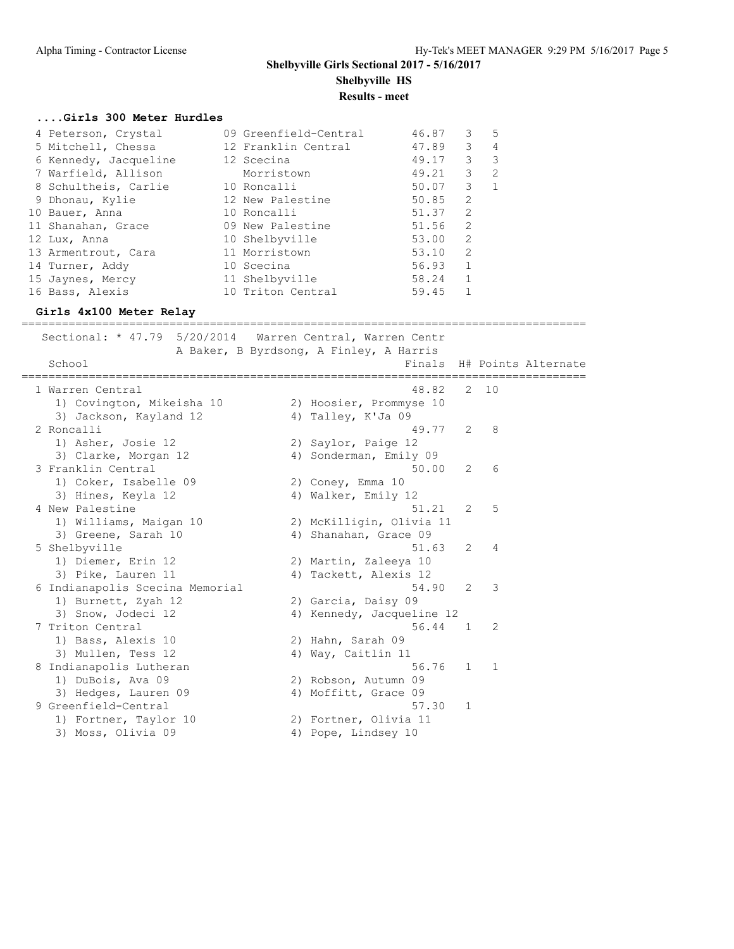# **Shelbyville Girls Sectional 2017 - 5/16/2017 Shelbyville HS**

**Results - meet**

## **....Girls 300 Meter Hurdles**

| $\mathcal{S}$<br>47.89<br>$\overline{4}$<br>5 Mitchell, Chessa<br>12 Franklin Central<br>49.17 3 3<br>6 Kennedy, Jacqueline<br>12 Scecina<br>49.21 3 2<br>7 Warfield, Allison<br>Morristown<br>$3 \quad 1$<br>8 Schultheis, Carlie<br>50.07<br>10 Roncalli<br>2<br>50.85<br>12 New Palestine<br>9 Dhonau, Kylie<br>2<br>51.37<br>10 Bauer, Anna<br>10 Roncalli<br>2<br>09 New Palestine<br>51.56<br>11 Shanahan, Grace<br>53.00 2<br>10 Shelbyville<br>12 Lux, Anna<br>11 Morristown<br>2<br>53.10<br>13 Armentrout, Cara<br>$56.93$ 1<br>14 Turner, Addy<br>10 Scecina<br>58.24 1<br>11 Shelbyville<br>15 Jaynes, Mercy<br>10 Triton Central<br>16 Bass, Alexis<br>59.45 | 4 Peterson, Crystal | 09 Greenfield-Central | 46.87 | 3 | - 5 |
|---------------------------------------------------------------------------------------------------------------------------------------------------------------------------------------------------------------------------------------------------------------------------------------------------------------------------------------------------------------------------------------------------------------------------------------------------------------------------------------------------------------------------------------------------------------------------------------------------------------------------------------------------------------------------|---------------------|-----------------------|-------|---|-----|
|                                                                                                                                                                                                                                                                                                                                                                                                                                                                                                                                                                                                                                                                           |                     |                       |       |   |     |
|                                                                                                                                                                                                                                                                                                                                                                                                                                                                                                                                                                                                                                                                           |                     |                       |       |   |     |
|                                                                                                                                                                                                                                                                                                                                                                                                                                                                                                                                                                                                                                                                           |                     |                       |       |   |     |
|                                                                                                                                                                                                                                                                                                                                                                                                                                                                                                                                                                                                                                                                           |                     |                       |       |   |     |
|                                                                                                                                                                                                                                                                                                                                                                                                                                                                                                                                                                                                                                                                           |                     |                       |       |   |     |
|                                                                                                                                                                                                                                                                                                                                                                                                                                                                                                                                                                                                                                                                           |                     |                       |       |   |     |
|                                                                                                                                                                                                                                                                                                                                                                                                                                                                                                                                                                                                                                                                           |                     |                       |       |   |     |
|                                                                                                                                                                                                                                                                                                                                                                                                                                                                                                                                                                                                                                                                           |                     |                       |       |   |     |
|                                                                                                                                                                                                                                                                                                                                                                                                                                                                                                                                                                                                                                                                           |                     |                       |       |   |     |
|                                                                                                                                                                                                                                                                                                                                                                                                                                                                                                                                                                                                                                                                           |                     |                       |       |   |     |
|                                                                                                                                                                                                                                                                                                                                                                                                                                                                                                                                                                                                                                                                           |                     |                       |       |   |     |
|                                                                                                                                                                                                                                                                                                                                                                                                                                                                                                                                                                                                                                                                           |                     |                       |       |   |     |

## **Girls 4x100 Meter Relay**

| Sectional: * 47.79 5/20/2014    | Warren Central, Warren Centr<br>A Baker, B Byrdsong, A Finley, A Harris |                |                |                     |
|---------------------------------|-------------------------------------------------------------------------|----------------|----------------|---------------------|
| School                          | Finals                                                                  |                |                | H# Points Alternate |
| 1 Warren Central                | 48.82                                                                   | 2              | 10             |                     |
| 1) Covington, Mikeisha 10       | 2) Hoosier, Prommyse 10                                                 |                |                |                     |
| 3) Jackson, Kayland 12          | 4) Talley, K'Ja 09                                                      |                |                |                     |
| 2 Roncalli                      | 49.77                                                                   | 2              | - 8            |                     |
| 1) Asher, Josie 12              | 2) Saylor, Paige 12                                                     |                |                |                     |
| 3) Clarke, Morgan 12            | 4) Sonderman, Emily 09                                                  |                |                |                     |
| 3 Franklin Central              | 50.00                                                                   | 2              | -6             |                     |
| 1) Coker, Isabelle 09           | 2) Coney, Emma 10                                                       |                |                |                     |
| 3) Hines, Keyla 12              | 4) Walker, Emily 12                                                     |                |                |                     |
| 4 New Palestine                 | 51.21                                                                   | 2              | 5              |                     |
| 1) Williams, Maigan 10          | 2) McKilligin, Olivia 11                                                |                |                |                     |
| 3) Greene, Sarah 10             | 4) Shanahan, Grace 09                                                   |                |                |                     |
| 5 Shelbyville                   | 51.63                                                                   | 2              | 4              |                     |
| 1) Diemer, Erin 12              | 2) Martin, Zaleeya 10                                                   |                |                |                     |
| 3) Pike, Lauren 11              | 4) Tackett, Alexis 12                                                   |                |                |                     |
| 6 Indianapolis Scecina Memorial | 54.90                                                                   | $\overline{2}$ | -3             |                     |
| 1) Burnett, Zyah 12             | 2) Garcia, Daisy 09                                                     |                |                |                     |
| 3) Snow, Jodeci 12              | 4) Kennedy, Jacqueline 12                                               |                |                |                     |
| 7 Triton Central                | 56.44                                                                   | $\overline{1}$ | 2              |                     |
| 1) Bass, Alexis 10              | 2) Hahn, Sarah 09                                                       |                |                |                     |
| 3) Mullen, Tess 12              | 4) Way, Caitlin 11                                                      |                |                |                     |
| 8 Indianapolis Lutheran         | 56.76                                                                   | $\mathbf{1}$   | $\overline{1}$ |                     |
| 1) DuBois, Ava 09               | 2) Robson, Autumn 09                                                    |                |                |                     |
| 3) Hedges, Lauren 09            | 4) Moffitt, Grace 09                                                    |                |                |                     |
| 9 Greenfield-Central            | 57.30                                                                   | 1              |                |                     |
| 1) Fortner, Taylor 10           | 2) Fortner, Olivia 11                                                   |                |                |                     |
| 3) Moss, Olivia 09              | 4) Pope, Lindsey 10                                                     |                |                |                     |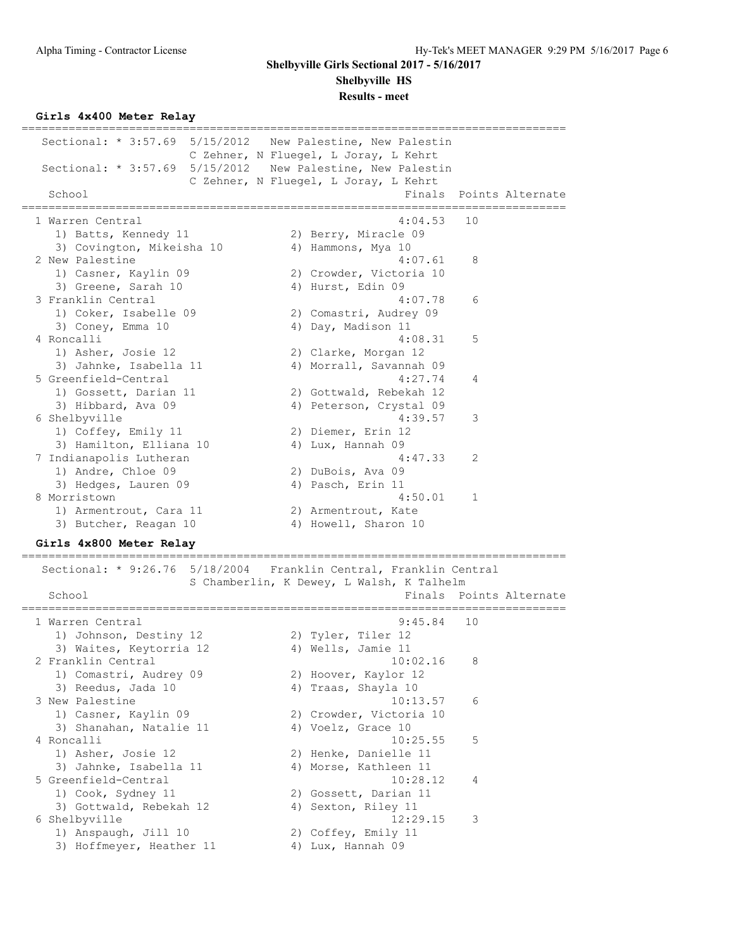**Shelbyville HS**

**Results - meet**

**Girls 4x400 Meter Relay**

================================================================================= Sectional: \* 3:57.69 5/15/2012 New Palestine, New Palestin C Zehner, N Fluegel, L Joray, L Kehrt Sectional: \* 3:57.69 5/15/2012 New Palestine, New Palestin C Zehner, N Fluegel, L Joray, L Kehrt School **Finals** Points Alternate ================================================================================= 1 Warren Central 4:04.53 10 1) Batts, Kennedy 11 2) Berry, Miracle 09 3) Covington, Mikeisha 10  $\hskip1cm 4$ ) Hammons, Mya 10 2 New Palestine 2 2 New Palestine 2 2 New York 1:07.61 8 1) Casner, Kaylin 09 2) Crowder, Victoria 10 3) Greene, Sarah 10 4) Hurst, Edin 09 3 Franklin Central 4:07.78 6 1) Coker, Isabelle 09 2) Comastri, Audrey 09 3) Coney, Emma 10 4) Day, Madison 11 4 Roncalli 4:08.31 5 1) Asher, Josie 12 2) Clarke, Morgan 12 3) Jahnke, Isabella 11 4) Morrall, Savannah 09 5 Greenfield-Central 4:27.74 4 1) Gossett, Darian 11 2) Gottwald, Rebekah 12 3) Hibbard, Ava 09 4) Peterson, Crystal 09 6 Shelbyville 4:39.57 3 1) Coffey, Emily 11 2) Diemer, Erin 12 3) Hamilton, Elliana 10  $\hspace{1cm}$  4) Lux, Hannah 09 7 Indianapolis Lutheran 4:47.33 2 1) Andre, Chloe 09 2) DuBois, Ava 09 3) Hedges, Lauren 09 4) Pasch, Erin 11 8 Morristown 1:50.01 1 1) Armentrout, Cara 11 and 2) Armentrout, Kate 3) Butcher, Reagan 10 4) Howell, Sharon 10

## **Girls 4x800 Meter Relay**

=================================================================================

 Sectional: \* 9:26.76 5/18/2004 Franklin Central, Franklin Central S Chamberlin, K Dewey, L Walsh, K Talhelm School **Finals Points Alternate** ================================================================================= 1 Warren Central 9:45.84 10 1) Johnson, Destiny 12  $\hskip10mm$  2) Tyler, Tiler 12 3) Waites, Keytorria 12 (4) Wells, Jamie 11 2 Franklin Central 10:02.16 8 1) Comastri, Audrey 09 12 2) Hoover, Kaylor 12 3) Reedus, Jada 10 4) Traas, Shayla 10 3 New Palestine 10:13.57 6 1) Casner, Kaylin 09 2) Crowder, Victoria 10 3) Shanahan, Natalie 11 4) Voelz, Grace 10 4 Roncalli 10:25.55 5 1) Asher, Josie 12 2) Henke, Danielle 11 3) Jahnke, Isabella 11 4) Morse, Kathleen 11 5 Greenfield-Central 10:28.12 4 1) Cook, Sydney 11 2) Gossett, Darian 11 3) Gottwald, Rebekah 12 (4) Sexton, Riley 11 6 Shelbyville 12:29.15 3 1) Anspaugh, Jill 10 2) Coffey, Emily 11 3) Hoffmeyer, Heather 11  $\hspace{1cm}$  4) Lux, Hannah 09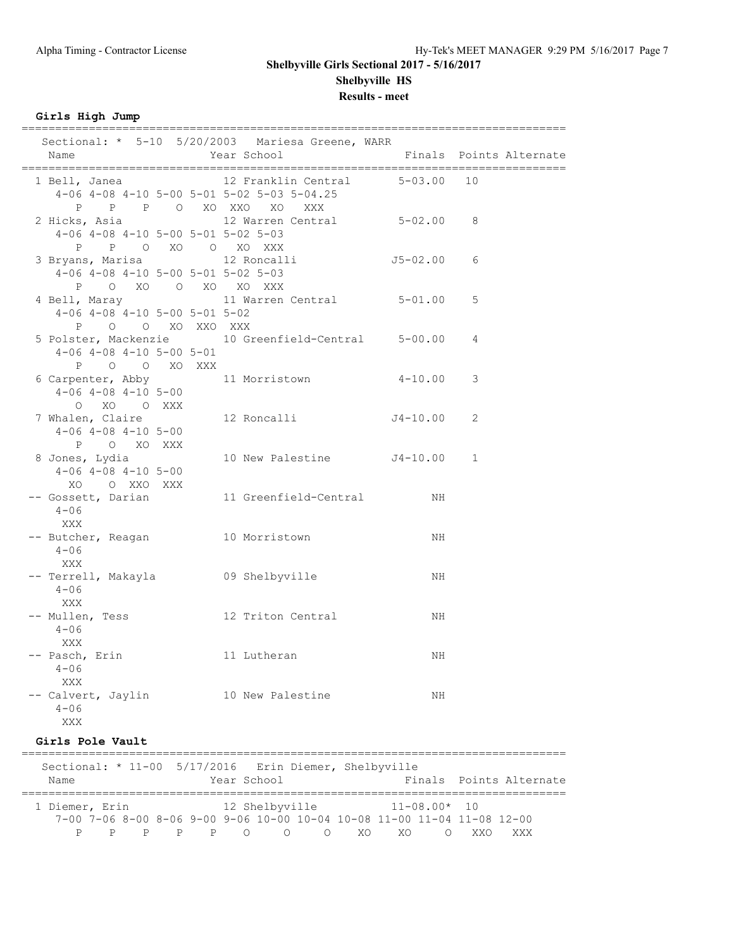# **Shelbyville Girls Sectional 2017 - 5/16/2017 Shelbyville HS**

**Results - meet**

**Girls High Jump**

| Sectional: * 5-10 5/20/2003 Mariesa Greene, WARR<br>Name                                                 | Year School                    |              | Finals Points Alternate |
|----------------------------------------------------------------------------------------------------------|--------------------------------|--------------|-------------------------|
| 1 Bell, Janea<br>$4-06$ $4-08$ $4-10$ $5-00$ $5-01$ $5-02$ $5-03$ $5-04.25$<br>P P P O XO XXO XO XXX     | 12 Franklin Central 5-03.00 10 |              |                         |
| 2 Hicks, Asia (12 Warren Central 5-02.00<br>$4-06$ $4-08$ $4-10$ $5-00$ $5-01$ $5-02$ $5-03$             |                                |              | -8                      |
| 3 Bryans, Marisa 12 Roncalli<br>$4-06$ $4-08$ $4-10$ $5-00$ $5-01$ $5-02$ $5-03$<br>P O XO O XO XO XXX   |                                | $J5-02.00$ 6 |                         |
| 4 Bell, Maray 11 Warren Central 5-01.00<br>$4-06$ $4-08$ $4-10$ $5-00$ $5-01$ $5-02$<br>P O O XO XXO XXX |                                |              | 5                       |
| 5 Polster, Mackenzie 10 Greenfield-Central 5-00.00<br>$4-06$ $4-08$ $4-10$ $5-00$ $5-01$<br>P O O XO XXX |                                |              | 4                       |
| 6 Carpenter, Abby 11 Morristown<br>$4-06$ $4-08$ $4-10$ $5-00$<br>O XO O XXX                             |                                | $4 - 10.00$  | 3                       |
| 7 Whalen, Claire<br>$4-06$ $4-08$ $4-10$ $5-00$<br>P O XO XXX                                            | 12 Roncalli J4-10.00           |              | 2                       |
| 8 Jones, Lydia<br>$4-06$ $4-08$ $4-10$ $5-00$<br>XO O XXO XXX                                            | 10 New Palestine J4-10.00      |              | 1                       |
| -- Gossett, Darian and 11 Greenfield-Central<br>$4 - 06$<br>XXX                                          |                                | ΝH           |                         |
| -- Butcher, Reagan 10 Morristown<br>$4 - 06$<br>XXX                                                      |                                | ΝH           |                         |
| -- Terrell, Makayla 69 Shelbyville<br>$4 - 06$<br>XXX                                                    |                                | ΝH           |                         |
| -- Mullen, Tess 12 Triton Central<br>$4 - 06$<br><b>XXX</b>                                              |                                | ΝH           |                         |
| -- Pasch, Erin 11 Lutheran<br>$4 - 06$<br>XXX                                                            |                                | NH           |                         |
| -- Calvert, Jaylin 10 New Palestine<br>$4 - 06$<br><b>XXX</b>                                            |                                | NH           |                         |

### **Girls Pole Vault**

================================================================================= Sectional: \* 11-00 5/17/2016 Erin Diemer, Shelbyville Name **The Year School** Finals Points Alternate ================================================================================= 1 Diemer, Erin 12 Shelbyville 11-08.00\* 10 7-00 7-06 8-00 8-06 9-00 9-06 10-00 10-04 10-08 11-00 11-04 11-08 12-00 P P P P P O O O XO XO O XXO XXX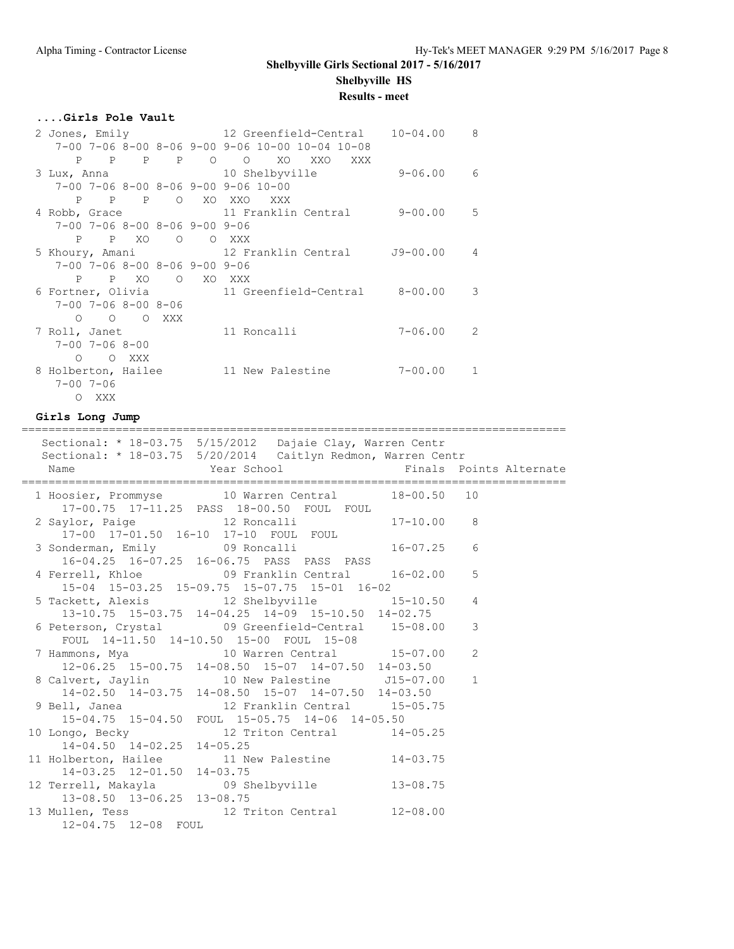**Shelbyville HS**

### **Results - meet**

### **....Girls Pole Vault**

|                                                       |                                                                   | $10 - 04.00$ | 8 |
|-------------------------------------------------------|-------------------------------------------------------------------|--------------|---|
|                                                       | $7-00$ $7-06$ $8-00$ $8-06$ $9-00$ $9-06$ $10-00$ $10-04$ $10-08$ |              |   |
|                                                       | P P P P O O XO XXO XXX                                            |              |   |
|                                                       |                                                                   | 9-06.00      | 6 |
| $7-00$ $7-06$ $8-00$ $8-06$ $9-00$ $9-06$ $10-00$     |                                                                   |              |   |
| P P P O XO XXO XXX                                    |                                                                   |              |   |
|                                                       | 4 Robb, Grace 11 Franklin Central 9-00.00 5                       |              |   |
| $7 - 00$ $7 - 06$ $8 - 00$ $8 - 06$ $9 - 00$ $9 - 06$ |                                                                   |              |   |
| P P XO O O XXX                                        |                                                                   |              |   |
|                                                       | 5 Khoury, Amani               12 Franklin Central       J9-00.00  |              | 4 |
| $7-00$ $7-06$ $8-00$ $8-06$ $9-00$ $9-06$             |                                                                   |              |   |
| P P XO O XO XXX                                       |                                                                   |              |   |
|                                                       | 6 Fortner, Olivia 11 Greenfield-Central 8-00.00                   |              | 3 |
| $7 - 00$ $7 - 06$ $8 - 00$ $8 - 06$                   |                                                                   |              |   |
| O O O XXX                                             |                                                                   |              |   |
| 7 Roll, Janet                                         | 11 Roncalli                                                       | 7-06.00      | 2 |
| $7 - 00$ $7 - 06$ $8 - 00$                            |                                                                   |              |   |
| O O XXX                                               |                                                                   |              |   |
| 8 Holberton, Hailee                                   | 11 New Palestine                                                  | $7 - 00.00$  |   |
| $7 - 00$ 7-06                                         |                                                                   |              |   |
| O XXX                                                 |                                                                   |              |   |

#### **Girls Long Jump**

================================================================================= Sectional: \* 18-03.75 5/15/2012 Dajaie Clay, Warren Centr Sectional: \* 18-03.75 5/20/2014 Caitlyn Redmon, Warren Centr Name Year School Finals Points Alternate ================================================================================= 1 Hoosier, Prommyse 10 Warren Central 18-00.50 10 17-00.75 17-11.25 PASS 18-00.50 FOUL FOUL 2 Saylor, Paige 12 Roncalli 17-10.00 8 17-00 17-01.50 16-10 17-10 FOUL FOUL 3 Sonderman, Emily 16-07.25 6 16-04.25 16-07.25 16-06.75 PASS PASS PASS 4 Ferrell, Khloe 09 Franklin Central 16-02.00 5 15-04 15-03.25 15-09.75 15-07.75 15-01 16-02 5 Tackett, Alexis 12 Shelbyville 15-10.50 4 13-10.75 15-03.75 14-04.25 14-09 15-10.50 14-02.75<br>6 Peterson, Crystal 09 Greenfield-Central 15-08.00 3 6 Peterson, Crystal 09 Greenfield-Central 15-08.00 3 FOUL 14-11.50 14-10.50 15-00 FOUL 15-08 7 Hammons, Mya 10 Warren Central 15-07.00 2 12-06.25 15-00.75 14-08.50 15-07 14-07.50 14-03.50 8 Calvert, Jaylin 10 New Palestine J15-07.00 1 14-02.50 14-03.75 14-08.50 15-07 14-07.50 14-03.50 9 Bell, Janea 12 Franklin Central 15-05.75 15-04.75 15-04.50 FOUL 15-05.75 14-06 14-05.50 10 Longo, Becky 12 Triton Central 14-05.25 14-04.50 14-02.25 14-05.25<br>11 Holberton, Hailee 11 Ne 11 New Palestine 14-03.75 14-03.25 12-01.50 14-03.75 12 Terrell, Makayla 09 Shelbyville 13-08.75 13-08.50 13-06.25 13-08.75 13 Mullen, Tess 12 Triton Central 12-08.00 12-04.75 12-08 FOUL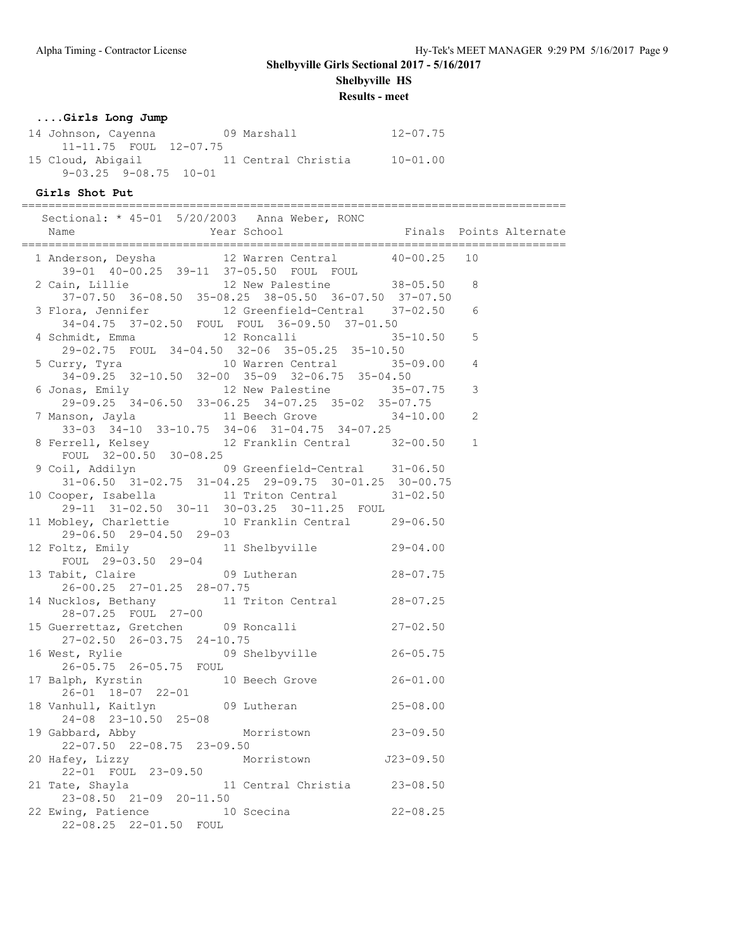**Shelbyville HS**

**Results - meet**

### **....Girls Long Jump**

| 14 Johnson, Cayenna         | 09 Marshall         | $12 - 07.75$ |
|-----------------------------|---------------------|--------------|
| 11-11.75 FOUL 12-07.75      |                     |              |
| 15 Cloud, Abigail           | 11 Central Christia | $10 - 01.00$ |
| $9-03.25$ $9-08.75$ $10-01$ |                     |              |

### **Girls Shot Put**

================================================================================= Sectional: \* 45-01 5/20/2003 Anna Weber, RONC Name The Year School The Finals Points Alternate ================================================================================= 1 Anderson, Deysha 12 Warren Central 40-00.25 10 39-01 40-00.25 39-11 37-05.50 FOUL FOUL 2 Cain, Lillie 12 New Palestine 38-05.50 8 37-07.50 36-08.50 35-08.25 38-05.50 36-07.50 37-07.50 3 Flora, Jennifer 12 Greenfield-Central 37-02.50 6 34-04.75 37-02.50 FOUL FOUL 36-09.50 37-01.50 4 Schmidt, Emma 12 Roncalli 35-10.50 5 29-02.75 FOUL 34-04.50 32-06 35-05.25 35-10.50 5 Curry, Tyra 10 Warren Central 35-09.00 4 34-09.25 32-10.50 32-00 35-09 32-06.75 35-04.50 6 Jonas, Emily 12 New Palestine 35-07.75 3 29-09.25 34-06.50 33-06.25 34-07.25 35-02 35-07.75 7 Manson, Jayla 11 Beech Grove 34-10.00 2 33-03 34-10 33-10.75 34-06 31-04.75 34-07.25 8 Ferrell, Kelsey 12 Franklin Central 32-00.50 1 FOUL 32-00.50 30-08.25 9 Coil, Addilyn 09 Greenfield-Central 31-06.50 31-06.50 31-02.75 31-04.25 29-09.75 30-01.25 30-00.75 10 Cooper, Isabella 11 Triton Central 31-02.50 29-11 31-02.50 30-11 30-03.25 30-11.25 FOUL 11 Mobley, Charlettie 10 Franklin Central 29-06.50 29-06.50 29-04.50 29-03 12 Foltz, Emily 11 Shelbyville 29-04.00 FOUL 29-03.50 29-04 13 Tabit, Claire 09 Lutheran 28-07.75 26-00.25 27-01.25 28-07.75 14 Nucklos, Bethany 11 Triton Central 28-07.25 28-07.25 FOUL 27-00 15 Guerrettaz, Gretchen 09 Roncalli 27-02.50 27-02.50 26-03.75 24-10.75 16 West, Rylie 09 Shelbyville 26-05.75 26-05.75 26-05.75 FOUL 17 Balph, Kyrstin 10 Beech Grove 26-01.00 26-01 18-07 22-01 18 Vanhull, Kaitlyn 09 Lutheran 25-08.00 24-08 23-10.50 25-08 19 Gabbard, Abby Morristown 23-09.50 22-07.50 22-08.75 23-09.50 20 Hafey, Lizzy Morristown J23-09.50 22-01 FOUL 23-09.50 21 Tate, Shayla 11 Central Christia 23-08.50 23-08.50 21-09 20-11.50 22 Ewing, Patience 10 Scecina 22-08.25 22-08.25 22-01.50 FOUL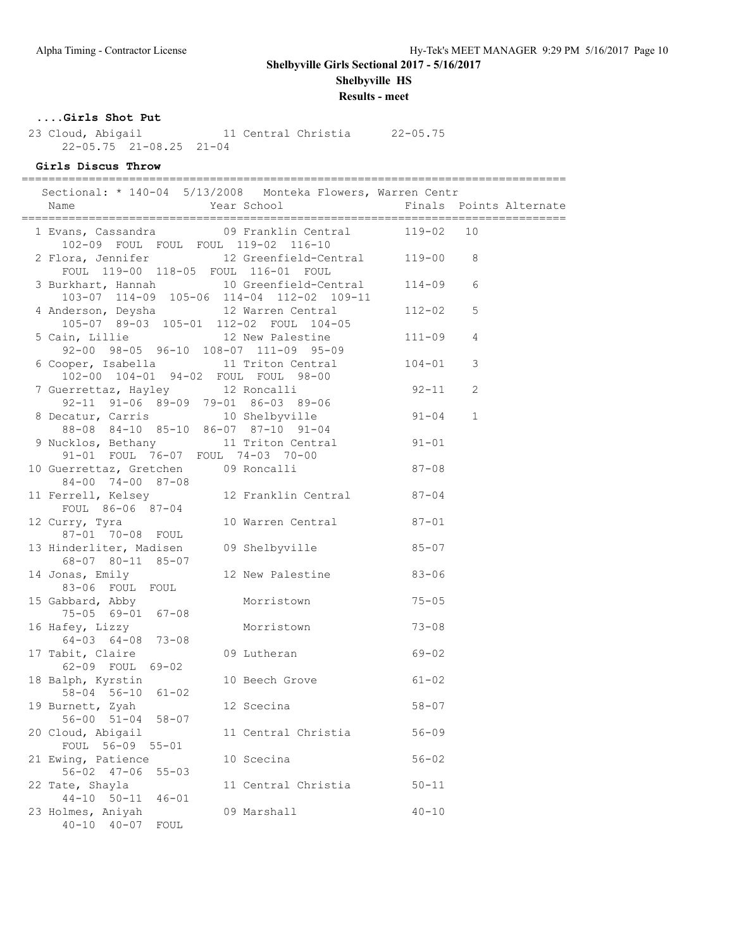**Shelbyville HS**

**Results - meet**

## **....Girls Shot Put**

 23 Cloud, Abigail 11 Central Christia 22-05.75 22-05.75 21-08.25 21-04

# **Girls Discus Throw**

================================================================================= Sectional: \* 140-04 5/13/2008 Monteka Flowers, Warren Centr

| 0                                                                                                              | 170 07 0/10/2000 MONCORA FIONCIS, MALICH CONCL |            |              |
|----------------------------------------------------------------------------------------------------------------|------------------------------------------------|------------|--------------|
|                                                                                                                |                                                |            |              |
| 1 Evans, Cassandra (1988) 19 Franklin Central (119-02 10<br>102-09 FOUL FOUL FOUL 119-02 116-10                |                                                |            |              |
| 2 Flora, Jennifer 12 Greenfield-Central 119-00 8<br>FOUL 119-00 118-05 FOUL 116-01 FOUL                        |                                                |            |              |
| 3 Burkhart, Hannah 10 Greenfield-Central 114-09<br>103-07 114-09 105-06 114-04 112-02 109-11                   |                                                |            | 6            |
| 4 Anderson, Deysha  12 Warren Central  112-02<br>105-07 89-03 105-01 112-02 FOUL 104-05                        |                                                |            | 5            |
| 5 Cain, Lillie 12 New Palestine<br>92-00 98-05 96-10 108-07 111-09 95-09                                       |                                                | $111 - 09$ | 4            |
| 6 Cooper, Isabella 11 Triton Central 104-01<br>102-00 104-01 94-02 FOUL FOUL 98-00                             |                                                |            | 3            |
| 7 Guerrettaz, Hayley 12 Roncalli                                                                               |                                                | $92 - 11$  | 2            |
| 92-11 91-06 89-09 79-01 86-03 89-06<br>8 Decatur, Carris 10 Shelbyville<br>88-08 84-10 85-10 86-07 87-10 91-04 |                                                | $91 - 04$  | $\mathbf{1}$ |
| 9 Nucklos, Bethany 11 Triton Central 91-01<br>91-01 FOUL 76-07 FOUL 74-03 70-00                                |                                                |            |              |
| 10 Guerrettaz, Gretchen 09 Roncalli<br>84-00 74-00 87-08                                                       |                                                | $87 - 08$  |              |
| 11 Ferrell, Kelsey<br>FOUL 86-06 87-04<br>TRIP: 12 Franklin Central<br>TRIP: 12 FOUL 86-06 87-04               |                                                |            |              |
| 12 Curry, Tyra<br>87-01 70-08 FOUL                                                                             | 10 Warren Central 87-01                        |            |              |
| 13 Hinderliter, Madisen 09 Shelbyville 85-07<br>68-07 80-11 85-07                                              |                                                |            |              |
| 14 Jonas, Emily<br>83-06 FOUL FOUL                                                                             | 12 New Palestine                               | $83 - 06$  |              |
| 15 Gabbard, Abby<br>75-05 69-01 67-08                                                                          | Morristown                                     | $75 - 05$  |              |
| 16 Hafey, Lizzy<br>$64-03$ $64-08$ $73-08$                                                                     | Morristown                                     | $73 - 08$  |              |
| 17 Tabit, Claire<br>62-09 FOUL 69-02                                                                           | 09 Lutheran                                    | $69 - 02$  |              |
| 18 Balph, Kyrstin<br>58-04 56-10 61-02                                                                         | 10 Beech Grove 61-02                           |            |              |
| 19 Burnett, Zyah<br>$56 - 00$ $51 - 04$ $58 - 07$                                                              | 12 Scecina 58-07                               |            |              |
| 20 Cloud, Abigail<br>FOUL 56-09 55-01                                                                          | 11 Central Christia 56-09                      |            |              |
| 21 Ewing, Patience<br>$56 - 02$ $47 - 06$<br>$55 - 03$                                                         | 10 Scecina                                     | $56 - 02$  |              |
| 22 Tate, Shayla<br>$44 - 10$ $50 - 11$<br>$46 - 01$                                                            | 11 Central Christia                            | $50 - 11$  |              |
| 23 Holmes, Aniyah<br>$40 - 10$ $40 - 07$<br>FOUL                                                               | 09 Marshall                                    | $40 - 10$  |              |